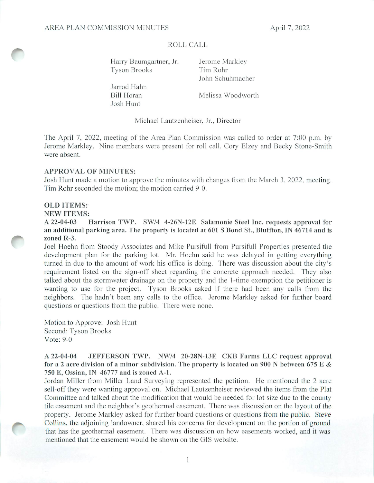### ROLL CALL

Harry Baumgartner, Jr. Jerome Markley Tyson Brooks Tim Rohr

Jarrod Hahn Josh Hunt

John Schuhmacher

Bill Horan Melissa Woodworth

Michael Lautzenheiser, Jr., Director

The April 7, 2022, meeting of the Area Plan Commission was called to order at 7:00 p.m. by Jerome Markley. Nine members were present for roll call. Cory Elzey and Becky Stone-Smith were absent.

#### APPROVAL OF MINUTES:

Josh Hunt made a motion to approve the minutes with changes from the March 3, 2022, meeting. Tim Rohr seconded the motion; the motion carried 9-0.

#### OLD ITEMS:

**NEW ITEMS:**<br>A 22-04-03

Harrison TWP. SW/4 4-26N-12E Salamonie Steel Inc. requests approval for an additional parking area. The property is located at 601 S Bond St., Bluffton, IN 46714 and is zoned R-3.

Joel Hoehn from Stoody Associates and Mike Pursifull from Pursifull Properties presented the development plan for the parking lot. Mr. Hoehn said he was delayed in getting everything turned in due to the amount of work his office is doing. There was discussion about the city's requirement listed on the sign-off sheet regarding the concrete approach needed. They also talked about the stormwater drainage on the property and the 1-time exemption the petitioner is wanting to use for the project. Tyson Brooks asked if there had been any calls from the neighbors. The hadn't been any calls to the office. Jerome Markley asked for further board questions or questions from the public. There were none.

Motion to Approve: Josh Hunt Second: Tyson Brooks Vote: 9-0

### A 22-04-04 JEFFERSON TWP. NW/4 20-28N-13E CKB Farms LLC request approval for a 2 acre division of a minor subdivision. The property is located on 900 N between 675 E & 750 E, Ossian, IN 46777 and is zoned A-1.

Jordan Miller from Miller Land Surveying represented the petition. He mentioned the 2 acre sell-off they were wanting approval on. Michael Lautzenheiser reviewed the items from the Plat Committee and talked about the modification that would be needed for lot size due to the county tile easement and the neighbor's geothermal easement. There was discussion on the layout of the property. Jerome Markley asked for further board questions or questions from the public. Steve Collins, the adjoining landowner, shared his concerns for development on the portion of ground that has the geothermal easement. There was discussion on how easements worked, and it was mentioned that the easement would be shown on the GIS website.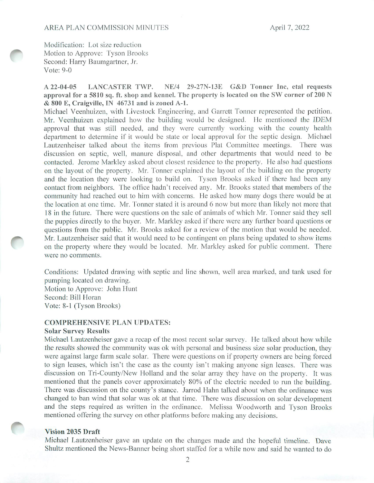Modification: Lot size reduction Motion to Approve: Tyson Brooks Second: Harry Baumgartner, Jr. Vote: 9-0

A 22-04-05 LANCASTER TWP. NE/4 29-27N-13E G&D Tonner Inc, etal requests approval for a 5810 sq. ft. shop and kennel. The property is located on the SW corner of 200 N & 800 E, Craigville, IN 46731 and is zoned A-L

Michael Veenhuizen, with Livestock Engineering, and Garrett Tonner represented the petition. Mr. Veenhuizen explained how the building would be designed. He mentioned the IDEM approval that was still needed, and they were currently working with the county health department to determine if it would be state or local approval for the septic design. Michael Lautzenheiser talked about the items from previous Plat Committee meetings. There was discussion on septic, well, manure disposal, and other departments that would need to be contacted. Jerome Markley asked about closest residence to the property. He also had questions on the layout of the property. Mr. Tonner explained the layout of the building on the property and the location they were looking to build on. Tyson Brooks asked if there had been any contact from neighbors. The office hadn't received any. Mr. Brooks stated that members of the community had reached out to him with concerns. He asked how many dogs there would be at the location at one time. Mr. Tonner stated it is around 6 now but more than likely not more that 18 in the future. There were questions on the sale of animals of which Mr. Tonner said they sell the puppies directly to the buyer. Mr. Markley asked if there were any further board questions or questions from the public. Mr. Brooks asked for a review of the motion that would be needed. Mr. Lautzenheiser said that it would need to be contingent on plans being updated to show items on the property where they would be located. Mr. Markley asked for public comment. There were no comments.

Conditions: Updated drawing with septic and line shown, well area marked, and tank used for pumping located on drawing. Motion to Approve: John Hunt Second: Bill Horan Vote: 8-1 (Tyson Brooks)

#### COMPREHENSIVE PLAN UPDATES:

#### Solar Survey Results

Michael Lautzenheiser gave a recap of the most recent solar survey. He talked about how while the results showed the community was ok with personal and business size solar production, they were against large farm scale solar. There were questions on if property owners are being forced to sign leases, which isn't the case as the county isn't making anyone sign leases. There was discussion on Tri-County/New Holland and the solar array they have on the property. It was mentioned that the panels cover approximately 80% of the electric needed to run the building. There was discussion on the county's stance. Jarrod Hahn talked about when the ordinance was changed to ban wind that solar was ok at that time. There was discussion on solar development and the steps required as written in the ordinance. Melissa Woodworth and Tyson Brooks mentioned offering the survey on other platforms before making any decisions.

#### Vision 2035 Draft

Michael Lautzenheiser gave an update on the changes made and the hopeful timeline. Dave Shultz mentioned the News-Banner being short staffed for a while now and said he wanted to do

2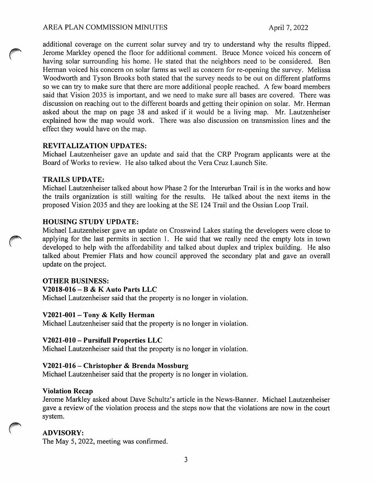### AREA PLAN COMMISSION MINUTES April 7, 2022

additional coverage on the current solar survey and try to understand why the results flipped. Jerome Markley opened the floor for additional comment. Bruce Monce voiced his concern of having solar surrounding his home. He stated that the neighbors need to be considered. Ben Herman voiced his concern on solar farms as well as concern for re-opening the survey. Melissa Woodworth and Tyson Brooks both stated that the survey needs to be out on different platforms so we can try to make sure that there are more additional people reached. A few board members said that Vision 2035 is important, and we need to make sure all bases are covered. There was discussion on reaching out to the different boards and getting their opinion on solar. Mr. Herman asked about the map on page 38 and asked if it would be a living map. Mr. Lautzenheiser explained how the map would work. There was also discussion on transmission lines and the effect they would have on the map.

### REVITALIZATION UPDATES:

Michael Lautzenheiser gave an update and said that the CRP Program applicants were at the Board of Works to review. He also talked about the Vera Cruz Launch Site.

### TRAILS UPDATE:

Michael Lautzenheiser talked about how Phase 2 for the Interurban Trail is in the works and how the trails organization is still waiting for the results. He talked about the next items in the proposed Vision 2035 and they are looking at the SE 124 Trail and the Ossian Loop Trail.

## HOUSING STUDY UPDATE:

Michael Lautzenheiser gave an update on Crosswind Lakes stating the developers were close to applying for the last permits in section 1. He said that we really need the empty lots in town developed to help with the affordability and talked about duplex and triplex building. He also talked about Premier Flats and how council approved the secondary plat and gave an overall update on the project.

## OTHER BUSINESS:

#### V2018-016 - B & K Auto Parts LLC

Michael Lautzenheiser said that the property is no longer in violation.

## V202I-001 - Tony & Kelly Herman

Michael Lautzenheiser said that the property is no longer in violation.

## V2021-010 - Pursifuil Properties LLC

Michael Lautzenheiser said that the property is no longer in violation.

## V2021-016 - Christopher & Brenda Mossburg

Michael Lautzenheiser said that the property is no longer in violation.

#### Violation Recap

Jerome Markley asked about Dave Schultz's article in the News-Banner. Michael Lautzenheiser gave a review of the violation process and the steps now that the violations are now in the court system.

## ADVISORY:

The May 5, 2022, meeting was confirmed.